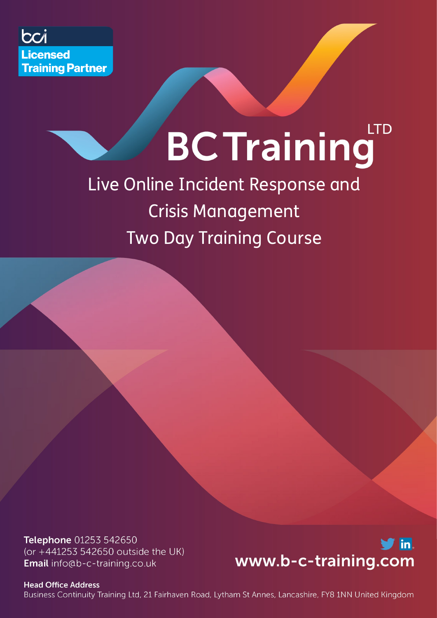

# **LTD BC Training**

Live Online Incident Response and Crisis Management Two Day Training Course

Telephone 01253 542650 (or +441253 542650 outside the UK) Email info@b-c-training.co.uk



**Head Office Address** Business Continuity Training Ltd, 21 Fairhaven Road, Lytham St Annes, Lancashire, FY8 1NN United Kingdom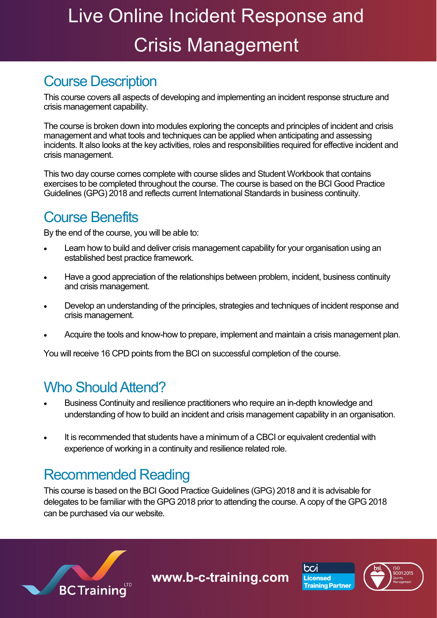# Live Online Incident Response and Crisis Management

## Course Description

This course covers all aspects of developing and implementing an incident response structure and crisis management capability.

The course is broken down into modules exploring the concepts and principles of incident and crisis management and what tools and techniques can be applied when anticipating and assessing incidents. It also looks at the key activities, roles and responsibilities required for effective incident and crisis management.

This two day course comes complete with course slides and Student Workbook that contains exercises to be completed throughout the course. The course is based on the BCI Good Practice Guidelines (GPG) 2018 and reflects current International Standards in business continuity.

## Course Benefits

By the end of the course, you will be able to:

- Learn how to build and deliver crisis management capability for your organisation using an established best practice framework.
- Have a good appreciation of the relationships between problem, incident, business continuity and crisis management.
- Develop an understanding of the principles, strategies and techniques of incident response and crisis management.
- Acquire the tools and know-how to prepare, implement and maintain a crisis management plan.

You will receive 16 CPD points from the BCI on successful completion of the course.

### Who Should Attend?

- Business Continuity and resilience practitioners who require an in-depth knowledge and understanding of how to build an incident and crisis management capability in an organisation.
- It is recommended that students have a minimum of a CBCI or equivalent credential with experience of working in a continuity and resilience related role.

### Recommended Reading

This course is based on the BCI Good Practice Guidelines (GPG) 2018 and it is advisable for delegates to be familiar with the GPG 2018 prior to attending the course. A copy of the GPG 2018 can be purchased via our website.



**www.b-c-training.com**



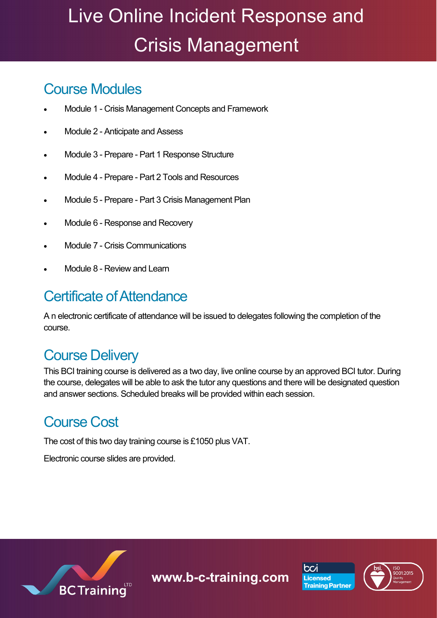# Live Online Incident Response and Crisis Management

## Course Modules

- Module 1 Crisis Management Concepts and Framework
- Module 2 Anticipate and Assess
- Module 3 Prepare Part 1 Response Structure
- Module 4 Prepare Part 2 Tools and Resources
- Module 5 Prepare Part 3 Crisis Management Plan
- Module 6 Response and Recovery
- Module 7 Crisis Communications
- Module 8 Review and Learn

## Certificate of Attendance

A n electronic certificate of attendance will be issued to delegates following the completion of the course.

## Course Delivery

This BCI training course is delivered as a two day, live online course by an approved BCI tutor. During the course, delegates will be able to ask the tutor any questions and there will be designated question and answer sections. Scheduled breaks will be provided within each session.

# Course Cost

The cost of this two day training course is £1050 plus VAT.

Electronic course slides are provided.



**www.b-c-training.com**